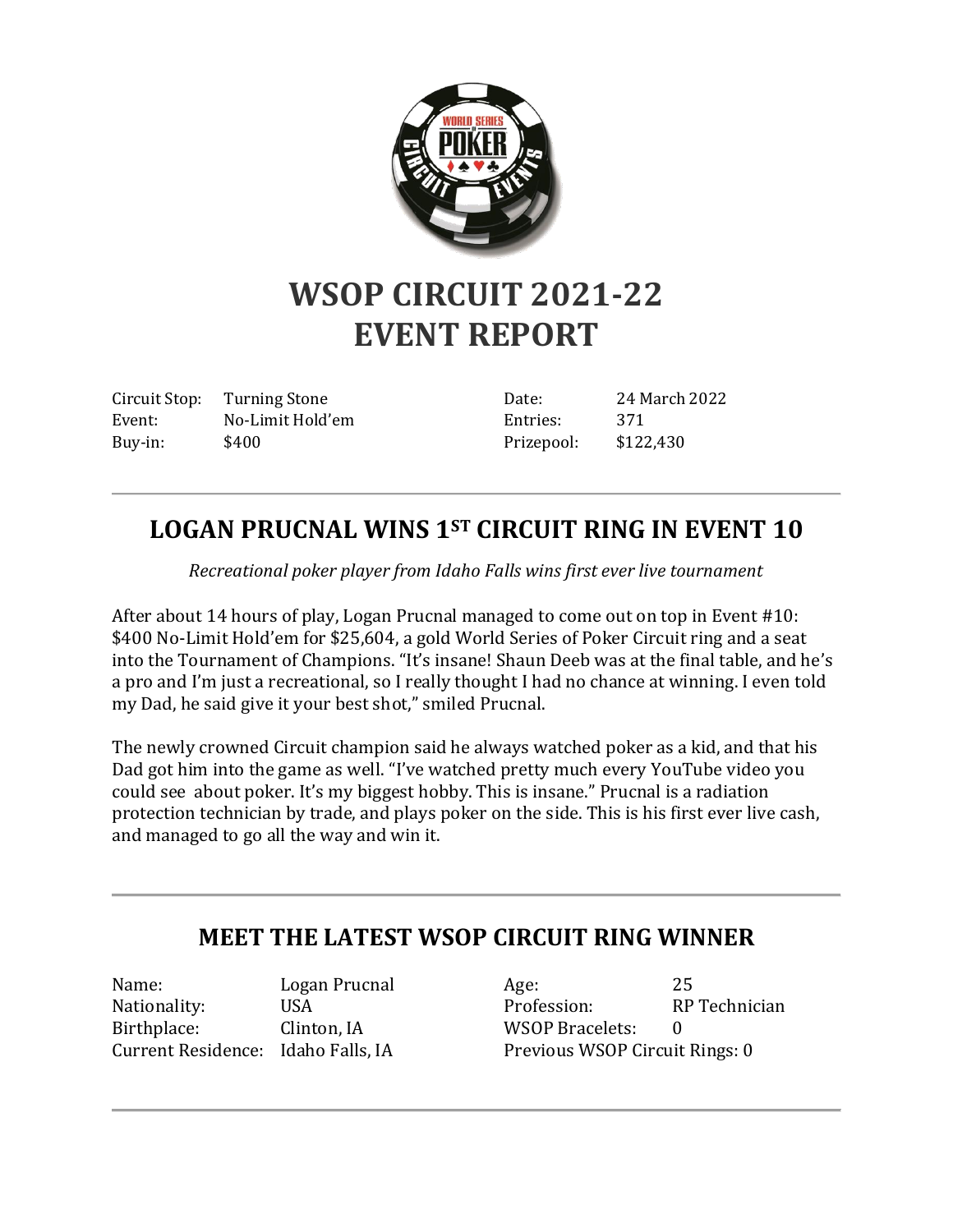

## **WSOP CIRCUIT 2021-22 EVENT REPORT**

Circuit Stop: Turning Stone Event: No-Limit Hold'em Buy-in: \$400

Date: 24 March 2022 Entries: 371 Prizepool: \$122,430

## **LOGAN PRUCNAL WINS 1ST CIRCUIT RING IN EVENT 10**

*Recreational poker player from Idaho Falls wins first ever live tournament*

After about 14 hours of play, Logan Prucnal managed to come out on top in Event #10: \$400 No-Limit Hold'em for \$25,604, a gold World Series of Poker Circuit ring and a seat into the Tournament of Champions. "It's insane! Shaun Deeb was at the final table, and he's a pro and I'm just a recreational, so I really thought I had no chance at winning. I even told my Dad, he said give it your best shot," smiled Prucnal.

The newly crowned Circuit champion said he always watched poker as a kid, and that his Dad got him into the game as well. "I've watched pretty much every YouTube video you could see about poker. It's my biggest hobby. This is insane." Prucnal is a radiation protection technician by trade, and plays poker on the side. This is his first ever live cash, and managed to go all the way and win it.

## **MEET THE LATEST WSOP CIRCUIT RING WINNER**

Name: Logan Prucnal Nationality: USA Birthplace: Clinton, IA Current Residence: Idaho Falls, IA

Age: 25 Profession: RP Technician WSOP Bracelets: 0 Previous WSOP Circuit Rings: 0